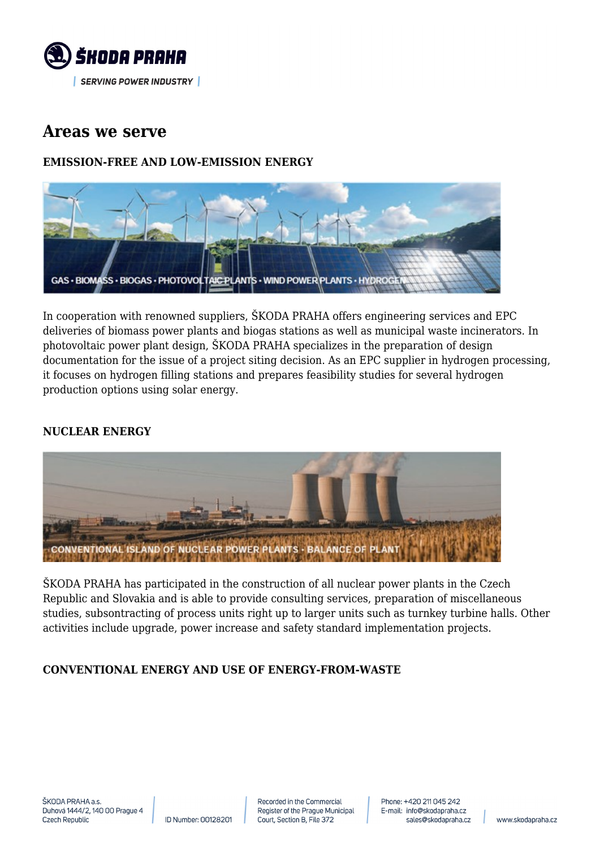

## **Areas we serve**

## **EMISSION-FREE AND LOW-EMISSION ENERGY**



In cooperation with renowned suppliers, ŠKODA PRAHA offers engineering services and EPC deliveries of biomass power plants and biogas stations as well as municipal waste incinerators. In photovoltaic power plant design, ŠKODA PRAHA specializes in the preparation of design documentation for the issue of a project siting decision. As an EPC supplier in hydrogen processing, it focuses on hydrogen filling stations and prepares feasibility studies for several hydrogen production options using solar energy.

## **NUCLEAR ENERGY**



ŠKODA PRAHA has participated in the construction of all nuclear power plants in the Czech Republic and Slovakia and is able to provide consulting services, preparation of miscellaneous studies, subsontracting of process units right up to larger units such as turnkey turbine halls. Other activities include upgrade, power increase and safety standard implementation projects.

## **CONVENTIONAL ENERGY AND USE OF ENERGY-FROM-WASTE**